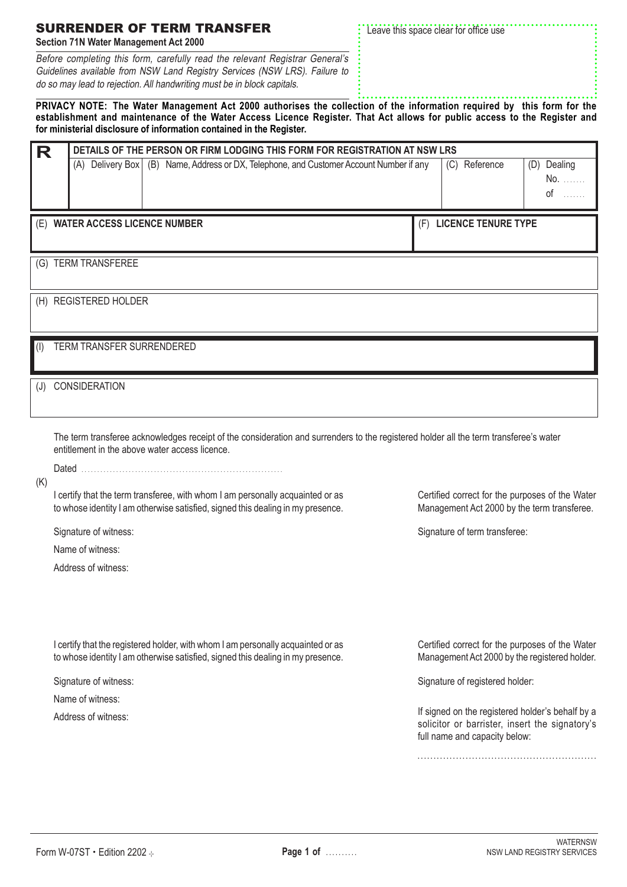|  |  |  | <b>SURRENDER OF TERM TRANSFER</b> |  |
|--|--|--|-----------------------------------|--|
|  |  |  |                                   |  |

**Section 71N Water Management Act 2000**

Before completing this form, carefully read the relevant Registrar General's Guidelines available from NSW Land Registry Services (NSW LRS). Failure to do so may lead to rejection. All handwriting must be in block capitals.

Leave this space clear for office use

**PRIVACY NOTE: The Water Management Act 2000 authorises the collection of the information required by this form for the establishment and maintenance of the Water Access Licence Register. That Act allows for public access to the Register and for ministerial disclosure of information contained in the Register.**

| R         | DETAILS OF THE PERSON OR FIRM LODGING THIS FORM FOR REGISTRATION AT NSW LRS |                      |                       |  |                                 |  |  |  |  |                                                                                           |     |               |                            |     |                                   |
|-----------|-----------------------------------------------------------------------------|----------------------|-----------------------|--|---------------------------------|--|--|--|--|-------------------------------------------------------------------------------------------|-----|---------------|----------------------------|-----|-----------------------------------|
|           |                                                                             |                      |                       |  |                                 |  |  |  |  | (A) Delivery Box   (B) Name, Address or DX, Telephone, and Customer Account Number if any |     | (C) Reference |                            | (D) | Dealing<br>No.<br>0f<br>1.1.1.1.1 |
|           |                                                                             |                      |                       |  | (E) WATER ACCESS LICENCE NUMBER |  |  |  |  |                                                                                           | (F) |               | <b>LICENCE TENURE TYPE</b> |     |                                   |
|           |                                                                             |                      | (G) TERM TRANSFEREE   |  |                                 |  |  |  |  |                                                                                           |     |               |                            |     |                                   |
|           |                                                                             |                      | (H) REGISTERED HOLDER |  |                                 |  |  |  |  |                                                                                           |     |               |                            |     |                                   |
| $($ l $)$ |                                                                             |                      |                       |  | TERM TRANSFER SURRENDERED       |  |  |  |  |                                                                                           |     |               |                            |     |                                   |
| (J)       |                                                                             | <b>CONSIDERATION</b> |                       |  |                                 |  |  |  |  |                                                                                           |     |               |                            |     |                                   |
|           |                                                                             |                      |                       |  |                                 |  |  |  |  |                                                                                           |     |               |                            |     |                                   |

The term transferee acknowledges receipt of the consideration and surrenders to the registered holder all the term transferee's water entitlement in the above water access licence.

Dated . . . . . . . . . . . . . . . . . . . . . . . . . . . . . . . . . . . . . . . . . . . . . . . . . . . . . . . . . . . . . . . .

 $(K)$ 

I certify that the term transferee, with whom I am personally acquainted or as to whose identity I am otherwise satisfied, signed this dealing in my presence.

Signature of witness:

Name of witness:

Address of witness:

Certified correct for the purposes of the Water Management Act 2000 by the term transferee.

Signature of term transferee:

I certify that the registered holder, with whom I am personally acquainted or as to whose identity I am otherwise satisfied, signed this dealing in my presence.

Signature of witness:

Name of witness:

Address of witness:

Certified correct for the purposes of the Water Management Act 2000 by the registered holder.

Signature of registered holder:

If signed on the registered holder's behalf by a solicitor or barrister, insert the signatory's full name and capacity below:

**. . . . . . . . . . . . . . . . . . . . . . . . . . . . . . . . . . . . . . . . . . . . . . . . . . . . . . . .**